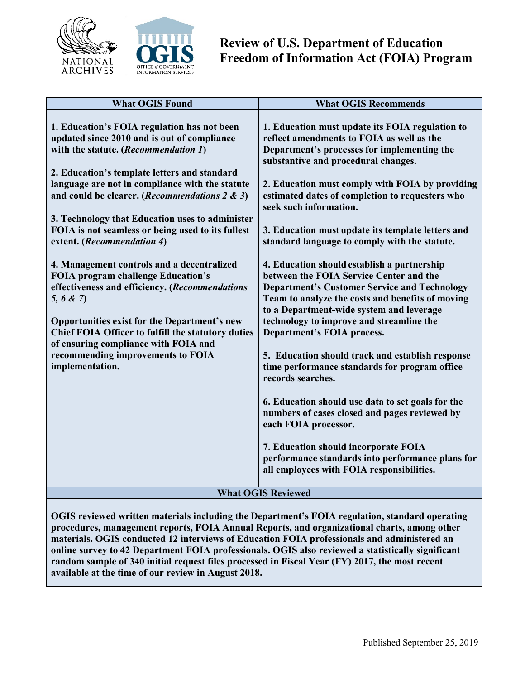

| <b>What OGIS Found</b>                                                                                                                                                                                                                                                                                                                                                                                                                                                                                                                                                                                                                                                                                                                                                                                                | <b>What OGIS Recommends</b>                                                                                                                                                                                                                                                                                                                                                                                                                                                                                                                                                                                                                                                                                                                                                                                                                                                                                                                                                                                                                                                                                                                          |  |
|-----------------------------------------------------------------------------------------------------------------------------------------------------------------------------------------------------------------------------------------------------------------------------------------------------------------------------------------------------------------------------------------------------------------------------------------------------------------------------------------------------------------------------------------------------------------------------------------------------------------------------------------------------------------------------------------------------------------------------------------------------------------------------------------------------------------------|------------------------------------------------------------------------------------------------------------------------------------------------------------------------------------------------------------------------------------------------------------------------------------------------------------------------------------------------------------------------------------------------------------------------------------------------------------------------------------------------------------------------------------------------------------------------------------------------------------------------------------------------------------------------------------------------------------------------------------------------------------------------------------------------------------------------------------------------------------------------------------------------------------------------------------------------------------------------------------------------------------------------------------------------------------------------------------------------------------------------------------------------------|--|
| 1. Education's FOIA regulation has not been<br>updated since 2010 and is out of compliance<br>with the statute. (Recommendation 1)<br>2. Education's template letters and standard<br>language are not in compliance with the statute<br>and could be clearer. ( <i>Recommendations</i> $2 & 3$ )<br>3. Technology that Education uses to administer<br>FOIA is not seamless or being used to its fullest<br>extent. (Recommendation 4)<br>4. Management controls and a decentralized<br><b>FOIA program challenge Education's</b><br>effectiveness and efficiency. (Recommendations<br>5, 6 & 7)<br><b>Opportunities exist for the Department's new</b><br><b>Chief FOIA Officer to fulfill the statutory duties</b><br>of ensuring compliance with FOIA and<br>recommending improvements to FOIA<br>implementation. | 1. Education must update its FOIA regulation to<br>reflect amendments to FOIA as well as the<br>Department's processes for implementing the<br>substantive and procedural changes.<br>2. Education must comply with FOIA by providing<br>estimated dates of completion to requesters who<br>seek such information.<br>3. Education must update its template letters and<br>standard language to comply with the statute.<br>4. Education should establish a partnership<br>between the FOIA Service Center and the<br><b>Department's Customer Service and Technology</b><br>Team to analyze the costs and benefits of moving<br>to a Department-wide system and leverage<br>technology to improve and streamline the<br>Department's FOIA process.<br>5. Education should track and establish response<br>time performance standards for program office<br>records searches.<br>6. Education should use data to set goals for the<br>numbers of cases closed and pages reviewed by<br>each FOIA processor.<br>7. Education should incorporate FOIA<br>performance standards into performance plans for<br>all employees with FOIA responsibilities. |  |
| <b>What OGIS Reviewed</b>                                                                                                                                                                                                                                                                                                                                                                                                                                                                                                                                                                                                                                                                                                                                                                                             |                                                                                                                                                                                                                                                                                                                                                                                                                                                                                                                                                                                                                                                                                                                                                                                                                                                                                                                                                                                                                                                                                                                                                      |  |
|                                                                                                                                                                                                                                                                                                                                                                                                                                                                                                                                                                                                                                                                                                                                                                                                                       |                                                                                                                                                                                                                                                                                                                                                                                                                                                                                                                                                                                                                                                                                                                                                                                                                                                                                                                                                                                                                                                                                                                                                      |  |

**OGIS reviewed written materials including the Department's FOIA regulation, standard operating procedures, management reports, FOIA Annual Reports, and organizational charts, among other materials. OGIS conducted 12 interviews of Education FOIA professionals and administered an online survey to 42 Department FOIA professionals. OGIS also reviewed a statistically significant random sample of 340 initial request files processed in Fiscal Year (FY) 2017, the most recent available at the time of our review in August 2018.**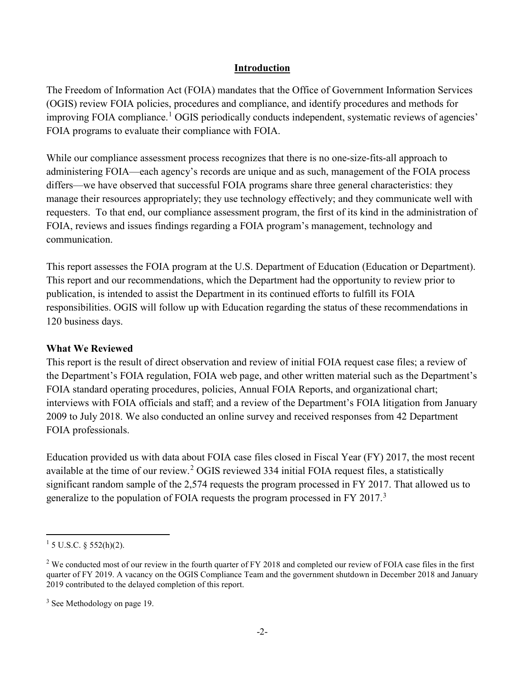### **Introduction**

The Freedom of Information Act (FOIA) mandates that the Office of Government Information Services (OGIS) review FOIA policies, procedures and compliance, and identify procedures and methods for improving FOIA compliance.<sup>[1](#page-1-0)</sup> OGIS periodically conducts independent, systematic reviews of agencies' FOIA programs to evaluate their compliance with FOIA.

While our compliance assessment process recognizes that there is no one-size-fits-all approach to administering FOIA—each agency's records are unique and as such, management of the FOIA process differs—we have observed that successful FOIA programs share three general characteristics: they manage their resources appropriately; they use technology effectively; and they communicate well with requesters. To that end, our compliance assessment program, the first of its kind in the administration of FOIA, reviews and issues findings regarding a FOIA program's management, technology and communication.

This report assesses the FOIA program at the U.S. Department of Education (Education or Department). This report and our recommendations, which the Department had the opportunity to review prior to publication, is intended to assist the Department in its continued efforts to fulfill its FOIA responsibilities. OGIS will follow up with Education regarding the status of these recommendations in 120 business days.

#### **What We Reviewed**

This report is the result of direct observation and review of initial FOIA request case files; a review of the Department's FOIA regulation, FOIA web page, and other written material such as the Department's FOIA standard operating procedures, policies, Annual FOIA Reports, and organizational chart; interviews with FOIA officials and staff; and a review of the Department's FOIA litigation from January 2009 to July 2018. We also conducted an online survey and received responses from 42 Department FOIA professionals.

Education provided us with data about FOIA case files closed in Fiscal Year (FY) 2017, the most recent available at the time of our review.<sup>[2](#page-1-1)</sup> OGIS reviewed 334 initial FOIA request files, a statistically significant random sample of the 2,574 requests the program processed in FY 2017. That allowed us to generalize to the population of FOIA requests the program processed in FY 2017.<sup>[3](#page-1-2)</sup>

<span id="page-1-0"></span> $1\,$  5 U.S.C. § 552(h)(2).

<span id="page-1-1"></span><sup>&</sup>lt;sup>2</sup> We conducted most of our review in the fourth quarter of FY 2018 and completed our review of FOIA case files in the first quarter of FY 2019. A vacancy on the OGIS Compliance Team and the government shutdown in December 2018 and January 2019 contributed to the delayed completion of this report.

<span id="page-1-2"></span><sup>3</sup> See Methodology on page 19.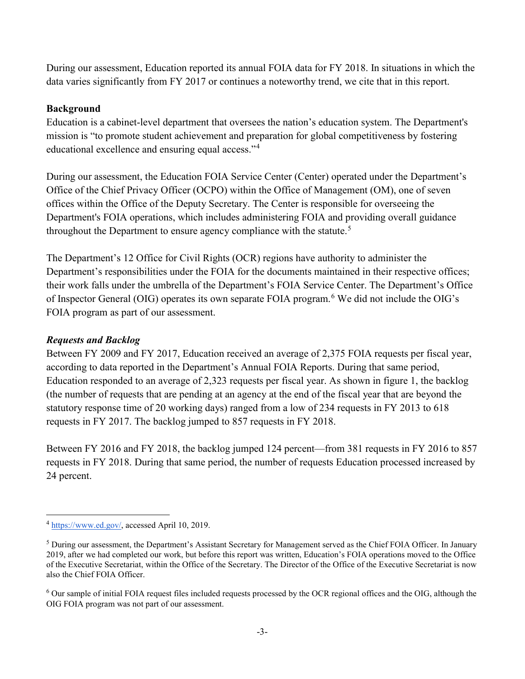During our assessment, Education reported its annual FOIA data for FY 2018. In situations in which the data varies significantly from FY 2017 or continues a noteworthy trend, we cite that in this report.

### **Background**

Education is a cabinet-level department that oversees the nation's education system. The Department's mission is "to promote student achievement and preparation for global competitiveness by fostering educational excellence and ensuring equal access."[4](#page-2-0)

During our assessment, the Education FOIA Service Center (Center) operated under the Department's Office of the Chief Privacy Officer (OCPO) within the Office of Management (OM), one of seven offices within the Office of the Deputy Secretary. The Center is responsible for overseeing the Department's FOIA operations, which includes administering FOIA and providing overall guidance throughout the Department to ensure agency compliance with the statute.<sup>[5](#page-2-1)</sup>

The Department's 12 Office for Civil Rights (OCR) regions have authority to administer the Department's responsibilities under the FOIA for the documents maintained in their respective offices; their work falls under the umbrella of the Department's FOIA Service Center. The Department's Office of Inspector General (OIG) operates its own separate FOIA program.<sup>[6](#page-2-2)</sup> We did not include the OIG's FOIA program as part of our assessment.

### *Requests and Backlog*

 $\overline{a}$ 

Between FY 2009 and FY 2017, Education received an average of 2,375 FOIA requests per fiscal year, according to data reported in the Department's Annual FOIA Reports. During that same period, Education responded to an average of 2,323 requests per fiscal year. As shown in figure 1, the backlog (the number of requests that are pending at an agency at the end of the fiscal year that are beyond the statutory response time of 20 working days) ranged from a low of 234 requests in FY 2013 to 618 requests in FY 2017. The backlog jumped to 857 requests in FY 2018.

Between FY 2016 and FY 2018, the backlog jumped 124 percent—from 381 requests in FY 2016 to 857 requests in FY 2018. During that same period, the number of requests Education processed increased by 24 percent.

<span id="page-2-0"></span><sup>4</sup> [https://www.ed.gov/,](https://www.ed.gov/) accessed April 10, 2019.

<span id="page-2-1"></span><sup>&</sup>lt;sup>5</sup> During our assessment, the Department's Assistant Secretary for Management served as the Chief FOIA Officer. In January 2019, after we had completed our work, but before this report was written, Education's FOIA operations moved to the Office of the Executive Secretariat, within the Office of the Secretary. The Director of the Office of the Executive Secretariat is now also the Chief FOIA Officer.

<span id="page-2-2"></span> $6$  Our sample of initial FOIA request files included requests processed by the OCR regional offices and the OIG, although the OIG FOIA program was not part of our assessment.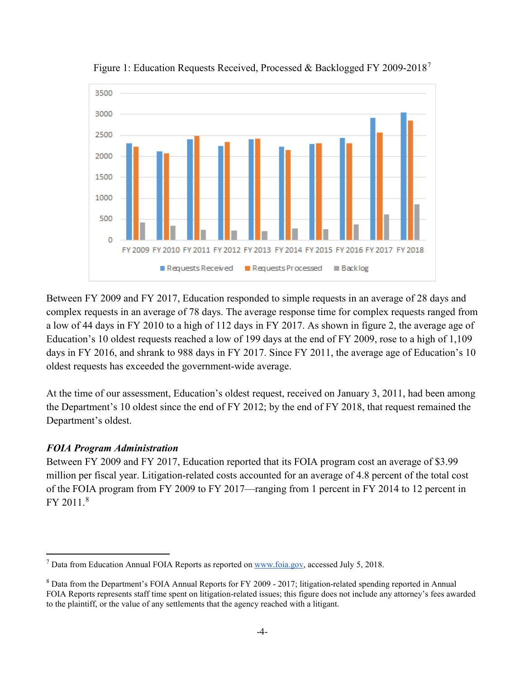

Figure 1: Education Requests Received, Processed & Backlogged FY 2009-2018<sup>[7](#page-3-0)</sup>

Between FY 2009 and FY 2017, Education responded to simple requests in an average of 28 days and complex requests in an average of 78 days. The average response time for complex requests ranged from a low of 44 days in FY 2010 to a high of 112 days in FY 2017. As shown in figure 2, the average age of Education's 10 oldest requests reached a low of 199 days at the end of FY 2009, rose to a high of 1,109 days in FY 2016, and shrank to 988 days in FY 2017. Since FY 2011, the average age of Education's 10 oldest requests has exceeded the government-wide average.

At the time of our assessment, Education's oldest request, received on January 3, 2011, had been among the Department's 10 oldest since the end of FY 2012; by the end of FY 2018, that request remained the Department's oldest.

#### *FOIA Program Administration*

 $\overline{a}$ 

Between FY 2009 and FY 2017, Education reported that its FOIA program cost an average of \$3.99 million per fiscal year. Litigation-related costs accounted for an average of 4.8 percent of the total cost of the FOIA program from FY 2009 to FY 2017—ranging from 1 percent in FY 2014 to 12 percent in  $FY$  2011.<sup>[8](#page-3-1)</sup>

<span id="page-3-0"></span> $<sup>7</sup>$  Data from Education Annual FOIA Reports as reported on  $\frac{www.foia.gov}{www.foia.gov}$ , accessed July 5, 2018.</sup>

<span id="page-3-1"></span><sup>8</sup> Data from the Department's FOIA Annual Reports for FY 2009 - 2017; litigation-related spending reported in Annual FOIA Reports represents staff time spent on litigation-related issues; this figure does not include any attorney's fees awarded to the plaintiff, or the value of any settlements that the agency reached with a litigant.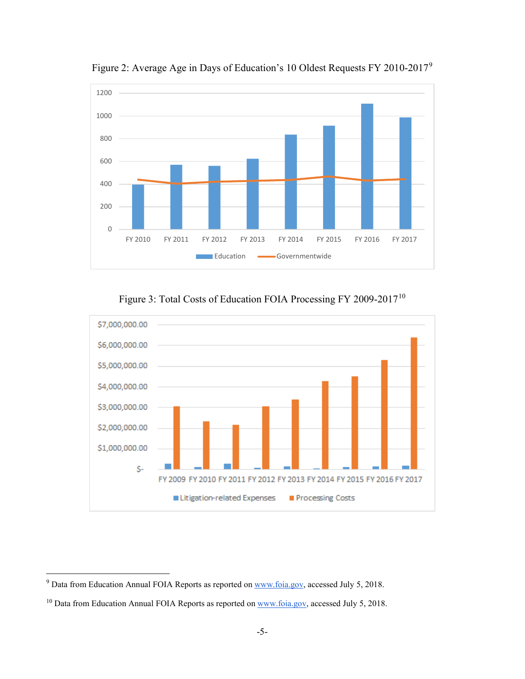

Figure 2: Average Age in Days of Education's 10 Oldest Requests FY 2010-2017[9](#page-4-0)

Figure 3: Total Costs of Education FOIA Processing FY 2009-2017[10](#page-4-1)



<span id="page-4-0"></span><sup>&</sup>lt;sup>9</sup> Data from Education Annual FOIA Reports as reported on [www.foia.gov,](http://www.foia.gov/) accessed July 5, 2018.

<span id="page-4-1"></span> $10$  Data from Education Annual FOIA Reports as reported on  $\frac{www.foia.gov}{waw.foia.gov}$ , accessed July 5, 2018.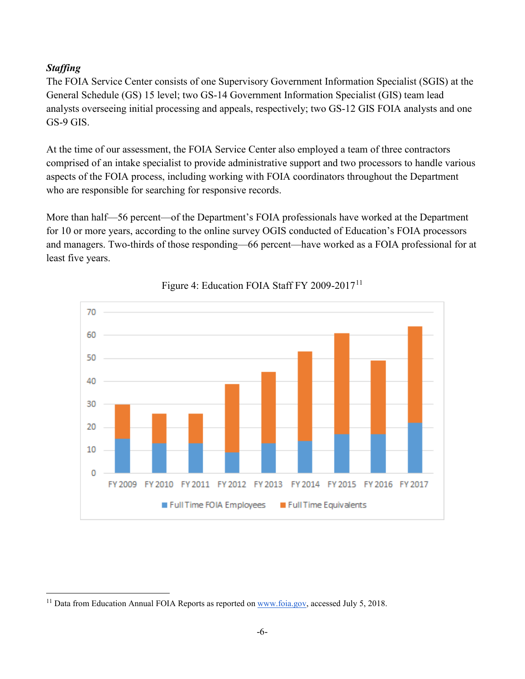# *Staffing*

l

The FOIA Service Center consists of one Supervisory Government Information Specialist (SGIS) at the General Schedule (GS) 15 level; two GS-14 Government Information Specialist (GIS) team lead analysts overseeing initial processing and appeals, respectively; two GS-12 GIS FOIA analysts and one GS-9 GIS.

At the time of our assessment, the FOIA Service Center also employed a team of three contractors comprised of an intake specialist to provide administrative support and two processors to handle various aspects of the FOIA process, including working with FOIA coordinators throughout the Department who are responsible for searching for responsive records.

More than half—56 percent—of the Department's FOIA professionals have worked at the Department for 10 or more years, according to the online survey OGIS conducted of Education's FOIA processors and managers. Two-thirds of those responding—66 percent—have worked as a FOIA professional for at least five years.



# Figure 4: Education FOIA Staff FY 2009-2017<sup>[11](#page-5-0)</sup>

<span id="page-5-0"></span><sup>&</sup>lt;sup>11</sup> Data from Education Annual FOIA Reports as reported o[n www.foia.gov,](http://www.foia.gov/) accessed July 5, 2018.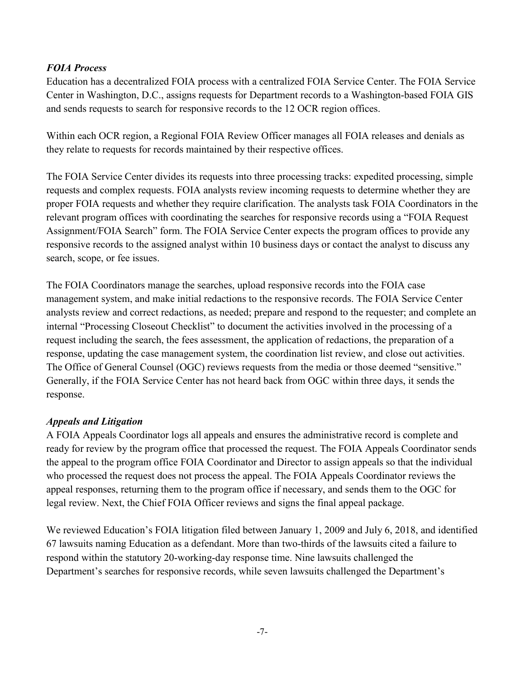## *FOIA Process*

Education has a decentralized FOIA process with a centralized FOIA Service Center. The FOIA Service Center in Washington, D.C., assigns requests for Department records to a Washington-based FOIA GIS and sends requests to search for responsive records to the 12 OCR region offices.

Within each OCR region, a Regional FOIA Review Officer manages all FOIA releases and denials as they relate to requests for records maintained by their respective offices.

The FOIA Service Center divides its requests into three processing tracks: expedited processing, simple requests and complex requests. FOIA analysts review incoming requests to determine whether they are proper FOIA requests and whether they require clarification. The analysts task FOIA Coordinators in the relevant program offices with coordinating the searches for responsive records using a "FOIA Request Assignment/FOIA Search" form. The FOIA Service Center expects the program offices to provide any responsive records to the assigned analyst within 10 business days or contact the analyst to discuss any search, scope, or fee issues.

The FOIA Coordinators manage the searches, upload responsive records into the FOIA case management system, and make initial redactions to the responsive records. The FOIA Service Center analysts review and correct redactions, as needed; prepare and respond to the requester; and complete an internal "Processing Closeout Checklist" to document the activities involved in the processing of a request including the search, the fees assessment, the application of redactions, the preparation of a response, updating the case management system, the coordination list review, and close out activities. The Office of General Counsel (OGC) reviews requests from the media or those deemed "sensitive." Generally, if the FOIA Service Center has not heard back from OGC within three days, it sends the response.

#### *Appeals and Litigation*

A FOIA Appeals Coordinator logs all appeals and ensures the administrative record is complete and ready for review by the program office that processed the request. The FOIA Appeals Coordinator sends the appeal to the program office FOIA Coordinator and Director to assign appeals so that the individual who processed the request does not process the appeal. The FOIA Appeals Coordinator reviews the appeal responses, returning them to the program office if necessary, and sends them to the OGC for legal review. Next, the Chief FOIA Officer reviews and signs the final appeal package.

We reviewed Education's FOIA litigation filed between January 1, 2009 and July 6, 2018, and identified 67 lawsuits naming Education as a defendant. More than two-thirds of the lawsuits cited a failure to respond within the statutory 20-working-day response time. Nine lawsuits challenged the Department's searches for responsive records, while seven lawsuits challenged the Department's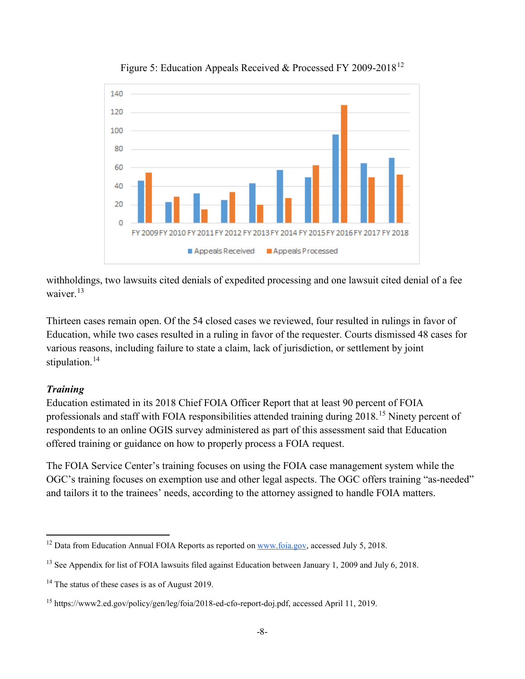

Figure 5: Education Appeals Received & Processed FY 2009-2018[12](#page-7-0)

withholdings, two lawsuits cited denials of expedited processing and one lawsuit cited denial of a fee waiver.<sup>[13](#page-7-1)</sup>

Thirteen cases remain open. Of the 54 closed cases we reviewed, four resulted in rulings in favor of Education, while two cases resulted in a ruling in favor of the requester. Courts dismissed 48 cases for various reasons, including failure to state a claim, lack of jurisdiction, or settlement by joint stipulation.<sup>[14](#page-7-2)</sup>

#### *Training*

l

Education estimated in its 2018 Chief FOIA Officer Report that at least 90 percent of FOIA professionals and staff with FOIA responsibilities attended training during 2018.[15](#page-7-3) Ninety percent of respondents to an online OGIS survey administered as part of this assessment said that Education offered training or guidance on how to properly process a FOIA request.

The FOIA Service Center's training focuses on using the FOIA case management system while the OGC's training focuses on exemption use and other legal aspects. The OGC offers training "as-needed" and tailors it to the trainees' needs, according to the attorney assigned to handle FOIA matters.

<span id="page-7-0"></span><sup>&</sup>lt;sup>12</sup> Data from Education Annual FOIA Reports as reported o[n www.foia.gov,](http://www.foia.gov/) accessed July 5, 2018.

<span id="page-7-1"></span><sup>&</sup>lt;sup>13</sup> See Appendix for list of FOIA lawsuits filed against Education between January 1, 2009 and July 6, 2018.

<span id="page-7-2"></span><sup>&</sup>lt;sup>14</sup> The status of these cases is as of August 2019.

<span id="page-7-3"></span><sup>15</sup> [https://www2.ed.gov/policy/gen/leg/foia/2018-ed-cfo-report-doj.pdf,](https://www2.ed.gov/policy/gen/leg/foia/2018-ed-cfo-report-doj.pdf) accessed April 11, 2019.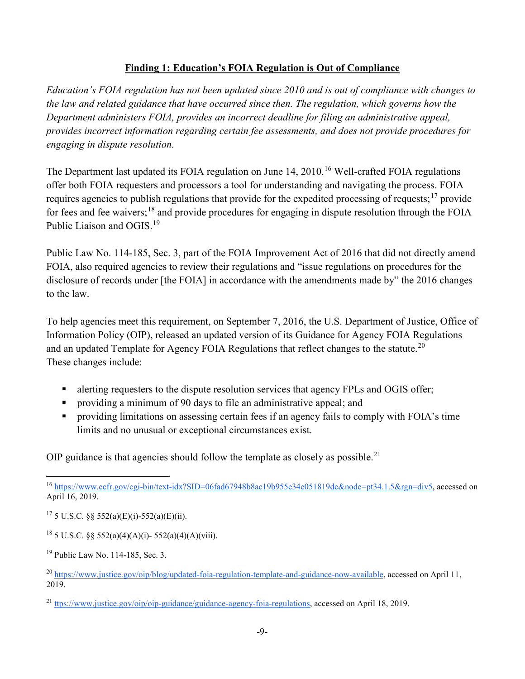## **Finding 1: Education's FOIA Regulation is Out of Compliance**

*Education's FOIA regulation has not been updated since 2010 and is out of compliance with changes to the law and related guidance that have occurred since then. The regulation, which governs how the Department administers FOIA, provides an incorrect deadline for filing an administrative appeal, provides incorrect information regarding certain fee assessments, and does not provide procedures for engaging in dispute resolution.*

The Department last updated its FOIA regulation on June 14, 2010.<sup>[16](#page-8-0)</sup> Well-crafted FOIA regulations offer both FOIA requesters and processors a tool for understanding and navigating the process. FOIA requires agencies to publish regulations that provide for the expedited processing of requests;<sup>[17](#page-8-1)</sup> provide for fees and fee waivers;<sup>[18](#page-8-2)</sup> and provide procedures for engaging in dispute resolution through the FOIA Public Liaison and OGIS.<sup>[19](#page-8-3)</sup>

Public Law No. 114-185, Sec. 3, part of the FOIA Improvement Act of 2016 that did not directly amend FOIA, also required agencies to review their regulations and "issue regulations on procedures for the disclosure of records under [the FOIA] in accordance with the amendments made by" the 2016 changes to the law.

To help agencies meet this requirement, on September 7, 2016, the U.S. Department of Justice, Office of Information Policy (OIP), released an updated version of its Guidance for Agency FOIA Regulations and an updated Template for Agency FOIA Regulations that reflect changes to the statute.<sup>[20](#page-8-4)</sup> These changes include:

- alerting requesters to the dispute resolution services that agency FPLs and OGIS offer;
- providing a minimum of 90 days to file an administrative appeal; and
- providing limitations on assessing certain fees if an agency fails to comply with FOIA's time limits and no unusual or exceptional circumstances exist.

OIP guidance is that agencies should follow the template as closely as possible.<sup>[21](#page-8-5)</sup>

<span id="page-8-0"></span><sup>16</sup> [https://www.ecfr.gov/cgi-bin/text-idx?SID=06fad67948b8ac19b955e34e051819dc&node=pt34.1.5&rgn=div5,](https://www.ecfr.gov/cgi-bin/text-idx?SID=06fad67948b8ac19b955e34e051819dc&node=pt34.1.5&rgn=div5) accessed on April 16, 2019.

<span id="page-8-1"></span> $17\,5$  U.S.C.  $88\,552(a)$ (E)(i)-552(a)(E)(ii).

<span id="page-8-2"></span><sup>&</sup>lt;sup>18</sup> 5 U.S.C. §§ 552(a)(4)(A)(i)- 552(a)(4)(A)(viii).

<span id="page-8-3"></span><sup>&</sup>lt;sup>19</sup> Public Law No. 114-185, Sec. 3.

<span id="page-8-4"></span><sup>&</sup>lt;sup>20</sup> [https://www.justice.gov/oip/blog/updated-foia-regulation-template-and-guidance-now-available,](https://www.justice.gov/oip/blog/updated-foia-regulation-template-and-guidance-now-available) accessed on April 11, 2019.

<span id="page-8-5"></span><sup>21</sup> [ttps://www.justice.gov/oip/oip-guidance/guidance-agency-foia-regulations,](https://www.justice.gov/oip/oip-guidance/guidance-agency-foia-regulations) accessed on April 18, 2019.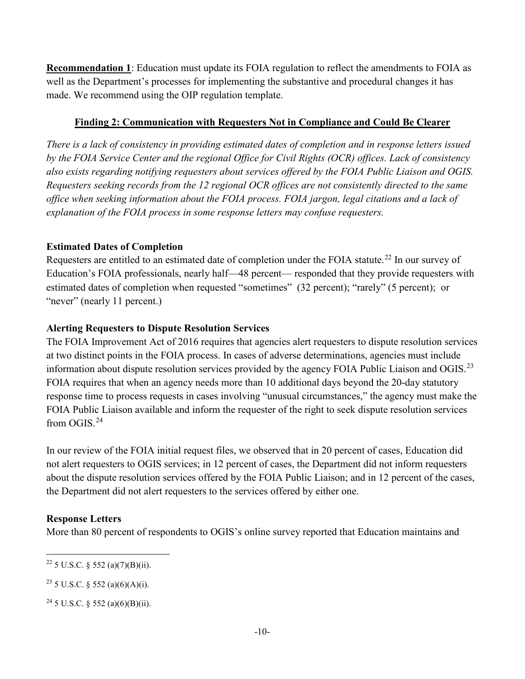**Recommendation 1**: Education must update its FOIA regulation to reflect the amendments to FOIA as well as the Department's processes for implementing the substantive and procedural changes it has made. We recommend using the OIP regulation template.

## **Finding 2: Communication with Requesters Not in Compliance and Could Be Clearer**

*There is a lack of consistency in providing estimated dates of completion and in response letters issued by the FOIA Service Center and the regional Office for Civil Rights (OCR) offices. Lack of consistency also exists regarding notifying requesters about services offered by the FOIA Public Liaison and OGIS. Requesters seeking records from the 12 regional OCR offices are not consistently directed to the same office when seeking information about the FOIA process. FOIA jargon, legal citations and a lack of explanation of the FOIA process in some response letters may confuse requesters.* 

## **Estimated Dates of Completion**

Requesters are entitled to an estimated date of completion under the FOIA statute.<sup>[22](#page-9-0)</sup> In our survey of Education's FOIA professionals, nearly half—48 percent— responded that they provide requesters with estimated dates of completion when requested "sometimes" (32 percent); "rarely" (5 percent); or "never" (nearly 11 percent.)

# **Alerting Requesters to Dispute Resolution Services**

The FOIA Improvement Act of 2016 requires that agencies alert requesters to dispute resolution services at two distinct points in the FOIA process. In cases of adverse determinations, agencies must include information about dispute resolution services provided by the agency FOIA Public Liaison and OGIS.<sup>[23](#page-9-1)</sup> FOIA requires that when an agency needs more than 10 additional days beyond the 20-day statutory response time to process requests in cases involving "unusual circumstances," the agency must make the FOIA Public Liaison available and inform the requester of the right to seek dispute resolution services from OGIS.[24](#page-9-2)

In our review of the FOIA initial request files, we observed that in 20 percent of cases, Education did not alert requesters to OGIS services; in 12 percent of cases, the Department did not inform requesters about the dispute resolution services offered by the FOIA Public Liaison; and in 12 percent of the cases, the Department did not alert requesters to the services offered by either one.

# **Response Letters**

 $\overline{\phantom{a}}$ 

More than 80 percent of respondents to OGIS's online survey reported that Education maintains and

<span id="page-9-0"></span> $22$  5 U.S.C. § 552 (a)(7)(B)(ii).

<span id="page-9-1"></span><sup>&</sup>lt;sup>23</sup> 5 U.S.C. § 552 (a)(6)(A)(i).

<span id="page-9-2"></span><sup>&</sup>lt;sup>24</sup> 5 U.S.C. § 552 (a)(6)(B)(ii).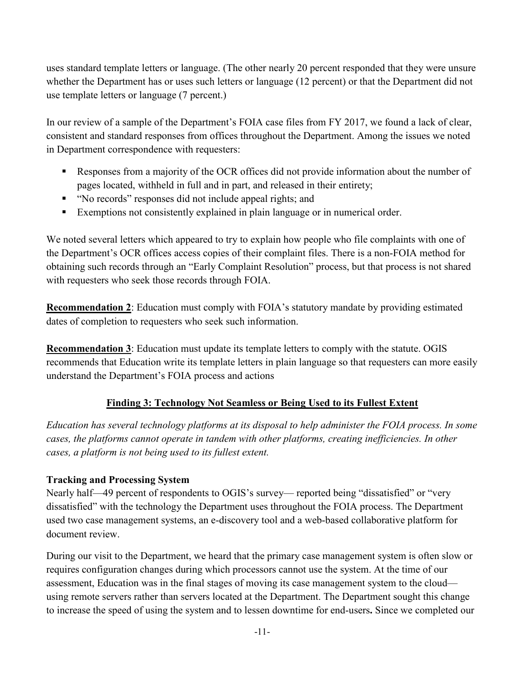uses standard template letters or language. (The other nearly 20 percent responded that they were unsure whether the Department has or uses such letters or language (12 percent) or that the Department did not use template letters or language (7 percent.)

In our review of a sample of the Department's FOIA case files from FY 2017, we found a lack of clear, consistent and standard responses from offices throughout the Department. Among the issues we noted in Department correspondence with requesters:

- Responses from a majority of the OCR offices did not provide information about the number of pages located, withheld in full and in part, and released in their entirety;
- "No records" responses did not include appeal rights; and
- Exemptions not consistently explained in plain language or in numerical order.

We noted several letters which appeared to try to explain how people who file complaints with one of the Department's OCR offices access copies of their complaint files. There is a non-FOIA method for obtaining such records through an "Early Complaint Resolution" process, but that process is not shared with requesters who seek those records through FOIA.

**Recommendation 2**: Education must comply with FOIA's statutory mandate by providing estimated dates of completion to requesters who seek such information.

**Recommendation 3**: Education must update its template letters to comply with the statute. OGIS recommends that Education write its template letters in plain language so that requesters can more easily understand the Department's FOIA process and actions

# **Finding 3: Technology Not Seamless or Being Used to its Fullest Extent**

*Education has several technology platforms at its disposal to help administer the FOIA process. In some cases, the platforms cannot operate in tandem with other platforms, creating inefficiencies. In other cases, a platform is not being used to its fullest extent.*

# **Tracking and Processing System**

Nearly half—49 percent of respondents to OGIS's survey— reported being "dissatisfied" or "very dissatisfied" with the technology the Department uses throughout the FOIA process. The Department used two case management systems, an e-discovery tool and a web-based collaborative platform for document review.

During our visit to the Department, we heard that the primary case management system is often slow or requires configuration changes during which processors cannot use the system. At the time of our assessment, Education was in the final stages of moving its case management system to the cloud using remote servers rather than servers located at the Department. The Department sought this change to increase the speed of using the system and to lessen downtime for end-users**.** Since we completed our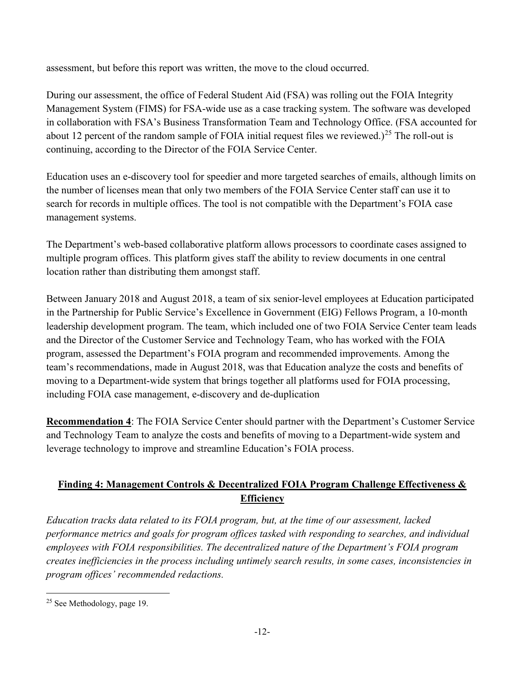assessment, but before this report was written, the move to the cloud occurred.

During our assessment, the office of Federal Student Aid (FSA) was rolling out the FOIA Integrity Management System (FIMS) for FSA-wide use as a case tracking system. The software was developed in collaboration with FSA's Business Transformation Team and Technology Office. (FSA accounted for about 12 percent of the random sample of FOIA initial request files we reviewed.)<sup>[25](#page-11-0)</sup> The roll-out is continuing, according to the Director of the FOIA Service Center.

Education uses an e-discovery tool for speedier and more targeted searches of emails, although limits on the number of licenses mean that only two members of the FOIA Service Center staff can use it to search for records in multiple offices. The tool is not compatible with the Department's FOIA case management systems.

The Department's web-based collaborative platform allows processors to coordinate cases assigned to multiple program offices. This platform gives staff the ability to review documents in one central location rather than distributing them amongst staff.

Between January 2018 and August 2018, a team of six senior-level employees at Education participated in the Partnership for Public Service's Excellence in Government (EIG) Fellows Program, a 10-month leadership development program. The team, which included one of two FOIA Service Center team leads and the Director of the Customer Service and Technology Team, who has worked with the FOIA program, assessed the Department's FOIA program and recommended improvements. Among the team's recommendations, made in August 2018, was that Education analyze the costs and benefits of moving to a Department-wide system that brings together all platforms used for FOIA processing, including FOIA case management, e-discovery and de-duplication

**Recommendation 4**: The FOIA Service Center should partner with the Department's Customer Service and Technology Team to analyze the costs and benefits of moving to a Department-wide system and leverage technology to improve and streamline Education's FOIA process.

# **Finding 4: Management Controls & Decentralized FOIA Program Challenge Effectiveness & Efficiency**

*Education tracks data related to its FOIA program, but, at the time of our assessment, lacked performance metrics and goals for program offices tasked with responding to searches, and individual employees with FOIA responsibilities. The decentralized nature of the Department's FOIA program creates inefficiencies in the process including untimely search results, in some cases, inconsistencies in program offices' recommended redactions.* 

<span id="page-11-0"></span><sup>&</sup>lt;sup>25</sup> See Methodology, page 19.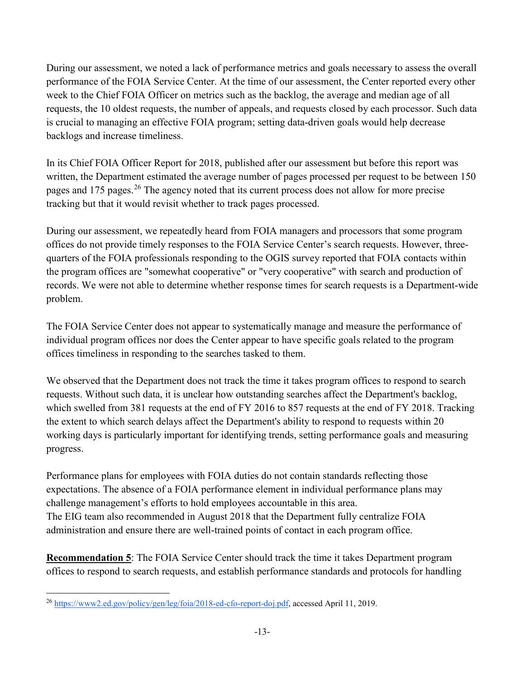During our assessment, we noted a lack of performance metrics and goals necessary to assess the overall performance of the FOIA Service Center. At the time of our assessment, the Center reported every other week to the Chief FOIA Officer on metrics such as the backlog, the average and median age of all requests, the 10 oldest requests, the number of appeals, and requests closed by each processor. Such data is crucial to managing an effective FOIA program; setting data-driven goals would help decrease backlogs and increase timeliness.

In its Chief FOIA Officer Report for 2018, published after our assessment but before this report was written, the Department estimated the average number of pages processed per request to be between 150 pages and 175 pages.<sup>[26](#page-12-0)</sup> The agency noted that its current process does not allow for more precise tracking but that it would revisit whether to track pages processed.

During our assessment, we repeatedly heard from FOIA managers and processors that some program offices do not provide timely responses to the FOIA Service Center's search requests. However, threequarters of the FOIA professionals responding to the OGIS survey reported that FOIA contacts within the program offices are "somewhat cooperative" or "very cooperative" with search and production of records. We were not able to determine whether response times for search requests is a Department-wide problem.

The FOIA Service Center does not appear to systematically manage and measure the performance of individual program offices nor does the Center appear to have specific goals related to the program offices timeliness in responding to the searches tasked to them.

We observed that the Department does not track the time it takes program offices to respond to search requests. Without such data, it is unclear how outstanding searches affect the Department's backlog, which swelled from 381 requests at the end of FY 2016 to 857 requests at the end of FY 2018. Tracking the extent to which search delays affect the Department's ability to respond to requests within 20 working days is particularly important for identifying trends, setting performance goals and measuring progress.

Performance plans for employees with FOIA duties do not contain standards reflecting those expectations. The absence of a FOIA performance element in individual performance plans may challenge management's efforts to hold employees accountable in this area. The EIG team also recommended in August 2018 that the Department fully centralize FOIA administration and ensure there are well-trained points of contact in each program office.

**Recommendation 5**: The FOIA Service Center should track the time it takes Department program offices to respond to search requests, and establish performance standards and protocols for handling

<span id="page-12-0"></span><sup>26</sup> [https://www2.ed.gov/policy/gen/leg/foia/2018-ed-cfo-report-doj.pdf,](https://www2.ed.gov/policy/gen/leg/foia/2018-ed-cfo-report-doj.pdf) accessed April 11, 2019.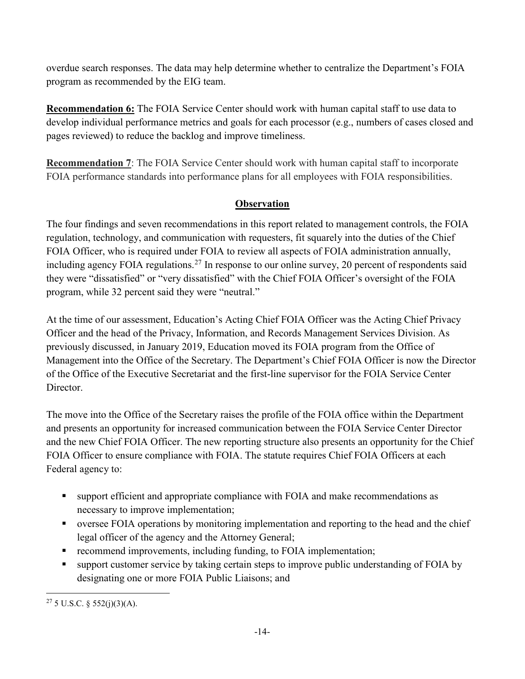overdue search responses. The data may help determine whether to centralize the Department's FOIA program as recommended by the EIG team.

**Recommendation 6:** The FOIA Service Center should work with human capital staff to use data to develop individual performance metrics and goals for each processor (e.g., numbers of cases closed and pages reviewed) to reduce the backlog and improve timeliness.

**Recommendation 7**: The FOIA Service Center should work with human capital staff to incorporate FOIA performance standards into performance plans for all employees with FOIA responsibilities.

# **Observation**

The four findings and seven recommendations in this report related to management controls, the FOIA regulation, technology, and communication with requesters, fit squarely into the duties of the Chief FOIA Officer, who is required under FOIA to review all aspects of FOIA administration annually, including agency FOIA regulations.<sup>[27](#page-13-0)</sup> In response to our online survey, 20 percent of respondents said they were "dissatisfied" or "very dissatisfied" with the Chief FOIA Officer's oversight of the FOIA program, while 32 percent said they were "neutral."

At the time of our assessment, Education's Acting Chief FOIA Officer was the Acting Chief Privacy Officer and the head of the Privacy, Information, and Records Management Services Division. As previously discussed, in January 2019, Education moved its FOIA program from the Office of Management into the Office of the Secretary. The Department's Chief FOIA Officer is now the Director of the Office of the Executive Secretariat and the first-line supervisor for the FOIA Service Center Director.

The move into the Office of the Secretary raises the profile of the FOIA office within the Department and presents an opportunity for increased communication between the FOIA Service Center Director and the new Chief FOIA Officer. The new reporting structure also presents an opportunity for the Chief FOIA Officer to ensure compliance with FOIA. The statute requires Chief FOIA Officers at each Federal agency to:

- support efficient and appropriate compliance with FOIA and make recommendations as necessary to improve implementation;
- oversee FOIA operations by monitoring implementation and reporting to the head and the chief legal officer of the agency and the Attorney General;
- recommend improvements, including funding, to FOIA implementation;
- support customer service by taking certain steps to improve public understanding of FOIA by designating one or more FOIA Public Liaisons; and

<span id="page-13-0"></span>l  $27\,$  5 U.S.C. § 552(j)(3)(A).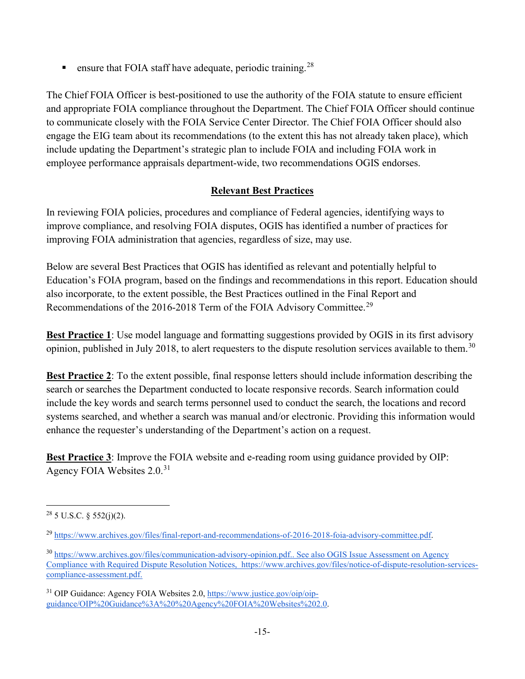ensure that FOIA staff have adequate, periodic training.<sup>[28](#page-14-0)</sup>

The Chief FOIA Officer is best-positioned to use the authority of the FOIA statute to ensure efficient and appropriate FOIA compliance throughout the Department. The Chief FOIA Officer should continue to communicate closely with the FOIA Service Center Director. The Chief FOIA Officer should also engage the EIG team about its recommendations (to the extent this has not already taken place), which include updating the Department's strategic plan to include FOIA and including FOIA work in employee performance appraisals department-wide, two recommendations OGIS endorses.

# **Relevant Best Practices**

In reviewing FOIA policies, procedures and compliance of Federal agencies, identifying ways to improve compliance, and resolving FOIA disputes, OGIS has identified a number of practices for improving FOIA administration that agencies, regardless of size, may use.

Below are several Best Practices that OGIS has identified as relevant and potentially helpful to Education's FOIA program, based on the findings and recommendations in this report. Education should also incorporate, to the extent possible, the Best Practices outlined in the Final Report and Recommendations of the 2016-2018 Term of the FOIA Advisory Committee.[29](#page-14-1)

**Best Practice 1**: Use model language and formatting suggestions provided by OGIS in its first advisory opinion, published in July 2018, to alert requesters to the dispute resolution services available to them.<sup>[30](#page-14-2)</sup>

**Best Practice 2**: To the extent possible, final response letters should include information describing the search or searches the Department conducted to locate responsive records. Search information could include the key words and search terms personnel used to conduct the search, the locations and record systems searched, and whether a search was manual and/or electronic. Providing this information would enhance the requester's understanding of the Department's action on a request.

**Best Practice 3**: Improve the FOIA website and e-reading room using guidance provided by OIP: Agency FOIA Websites 2.0.[31](#page-14-3)

<span id="page-14-0"></span> $28$  5 U.S.C.  $\frac{552(i)}{2}$ .

<span id="page-14-1"></span><sup>29</sup> [https://www.archives.gov/files/final-report-and-recommendations-of-2016-2018-foia-advisory-committee.pdf.](https://www.archives.gov/files/final-report-and-recommendations-of-2016-2018-foia-advisory-committee.pdf)

<span id="page-14-2"></span><sup>30</sup> [https://www.archives.gov/files/communication-advisory-opinion.pdf.. See also OGIS Issue Assessment on Agency](https://www.archives.gov/files/communication-advisory-opinion.pdf)  Compliance with Required [Dispute Resolution Notices,](https://www.archives.gov/files/communication-advisory-opinion.pdf) [https://www.archives.gov/files/notice-of-dispute-resolution-services](https://www.archives.gov/files/notice-of-dispute-resolution-services-compliance-assessment.pdf)[compliance-assessment.pdf](https://www.archives.gov/files/notice-of-dispute-resolution-services-compliance-assessment.pdf)[.](https://www.archives.gov/files/communication-advisory-opinion.pdf)

<span id="page-14-3"></span><sup>&</sup>lt;sup>31</sup> OIP Guidance: Agency FOIA Websites 2.0, [https://www.justice.gov/oip/oip](https://www.justice.gov/oip/oip-guidance/OIP%20Guidance%3A%20%20Agency%20FOIA%20Websites%202.0)[guidance/OIP%20Guidance%3A%20%20Agency%20FOIA%20Websites%202.0.](https://www.justice.gov/oip/oip-guidance/OIP%20Guidance%3A%20%20Agency%20FOIA%20Websites%202.0)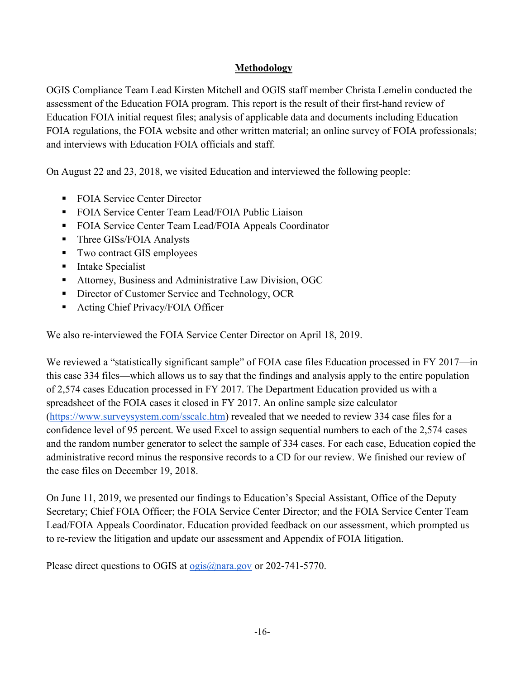# **Methodology**

OGIS Compliance Team Lead Kirsten Mitchell and OGIS staff member Christa Lemelin conducted the assessment of the Education FOIA program. This report is the result of their first-hand review of Education FOIA initial request files; analysis of applicable data and documents including Education FOIA regulations, the FOIA website and other written material; an online survey of FOIA professionals; and interviews with Education FOIA officials and staff.

On August 22 and 23, 2018, we visited Education and interviewed the following people:

- **FOIA Service Center Director**
- **FOIA Service Center Team Lead/FOIA Public Liaison**
- **FOIA Service Center Team Lead/FOIA Appeals Coordinator**
- **Three GISs/FOIA Analysts**
- **Two contract GIS employees**
- **Intake Specialist**
- Attorney, Business and Administrative Law Division, OGC
- Director of Customer Service and Technology, OCR
- Acting Chief Privacy/FOIA Officer

We also re-interviewed the FOIA Service Center Director on April 18, 2019.

We reviewed a "statistically significant sample" of FOIA case files Education processed in FY 2017—in this case 334 files—which allows us to say that the findings and analysis apply to the entire population of 2,574 cases Education processed in FY 2017. The Department Education provided us with a spreadsheet of the FOIA cases it closed in FY 2017. An online sample size calculator [\(https://www.surveysystem.com/sscalc.htm\)](https://www.surveysystem.com/sscalc.htm) revealed that we needed to review 334 case files for a confidence level of 95 percent. We used Excel to assign sequential numbers to each of the 2,574 cases and the random number generator to select the sample of 334 cases. For each case, Education copied the administrative record minus the responsive records to a CD for our review. We finished our review of the case files on December 19, 2018.

On June 11, 2019, we presented our findings to Education's Special Assistant, Office of the Deputy Secretary; Chief FOIA Officer; the FOIA Service Center Director; and the FOIA Service Center Team Lead/FOIA Appeals Coordinator. Education provided feedback on our assessment, which prompted us to re-review the litigation and update our assessment and Appendix of FOIA litigation.

Please direct questions to OGIS at [ogis@nara.gov](mailto:ogis@nara.gov) or 202-741-5770.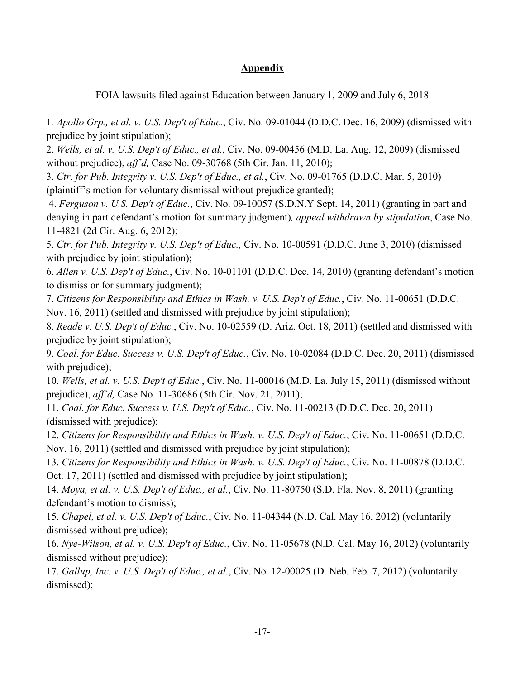### **Appendix**

FOIA lawsuits filed against Education between January 1, 2009 and July 6, 2018

1*. Apollo Grp., et al. v. U.S. Dep't of Educ.*, Civ. No. 09-01044 (D.D.C. Dec. 16, 2009) (dismissed with prejudice by joint stipulation);

2. *Wells, et al. v. U.S. Dep't of Educ., et al.*, Civ. No. 09-00456 (M.D. La. Aug. 12, 2009) (dismissed without prejudice), *aff'd,* Case No. 09-30768 (5th Cir. Jan. 11, 2010);

3. *Ctr. for Pub. Integrity v. U.S. Dep't of Educ., et al.*, Civ. No. 09-01765 (D.D.C. Mar. 5, 2010) (plaintiff's motion for voluntary dismissal without prejudice granted);

4. *Ferguson v. U.S. Dep't of Educ.*, Civ. No. 09-10057 (S.D.N.Y Sept. 14, 2011) (granting in part and denying in part defendant's motion for summary judgment)*, appeal withdrawn by stipulation*, Case No. 11-4821 (2d Cir. Aug. 6, 2012);

5. *Ctr. for Pub. Integrity v. U.S. Dep't of Educ.,* Civ. No. 10-00591 (D.D.C. June 3, 2010) (dismissed with prejudice by joint stipulation);

6. *Allen v. U.S. Dep't of Educ.*, Civ. No. 10-01101 (D.D.C. Dec. 14, 2010) (granting defendant's motion to dismiss or for summary judgment);

7. *Citizens for Responsibility and Ethics in Wash. v. U.S. Dep't of Educ.*, Civ. No. 11-00651 (D.D.C. Nov. 16, 2011) (settled and dismissed with prejudice by joint stipulation);

8. *Reade v. U.S. Dep't of Educ.*, Civ. No. 10-02559 (D. Ariz. Oct. 18, 2011) (settled and dismissed with prejudice by joint stipulation);

9. *Coal. for Educ. Success v. U.S. Dep't of Educ.*, Civ. No. 10-02084 (D.D.C. Dec. 20, 2011) (dismissed with prejudice);

10. *Wells, et al. v. U.S. Dep't of Educ.*, Civ. No. 11-00016 (M.D. La. July 15, 2011) (dismissed without prejudice), *aff'd,* Case No. 11-30686 (5th Cir. Nov. 21, 2011);

11. *Coal. for Educ. Success v. U.S. Dep't of Educ.*, Civ. No. 11-00213 (D.D.C. Dec. 20, 2011) (dismissed with prejudice);

12. *Citizens for Responsibility and Ethics in Wash. v. U.S. Dep't of Educ.*, Civ. No. 11-00651 (D.D.C. Nov. 16, 2011) (settled and dismissed with prejudice by joint stipulation);

13. *Citizens for Responsibility and Ethics in Wash. v. U.S. Dep't of Educ.*, Civ. No. 11-00878 (D.D.C. Oct. 17, 2011) (settled and dismissed with prejudice by joint stipulation);

14. *Moya, et al. v. U.S. Dep't of Educ., et al.*, Civ. No. 11-80750 (S.D. Fla. Nov. 8, 2011) (granting defendant's motion to dismiss);

15. *Chapel, et al. v. U.S. Dep't of Educ.*, Civ. No. 11-04344 (N.D. Cal. May 16, 2012) (voluntarily dismissed without prejudice);

16. *Nye-Wilson, et al. v. U.S. Dep't of Educ.*, Civ. No. 11-05678 (N.D. Cal. May 16, 2012) (voluntarily dismissed without prejudice);

17. *Gallup, Inc. v. U.S. Dep't of Educ., et al.*, Civ. No. 12-00025 (D. Neb. Feb. 7, 2012) (voluntarily dismissed);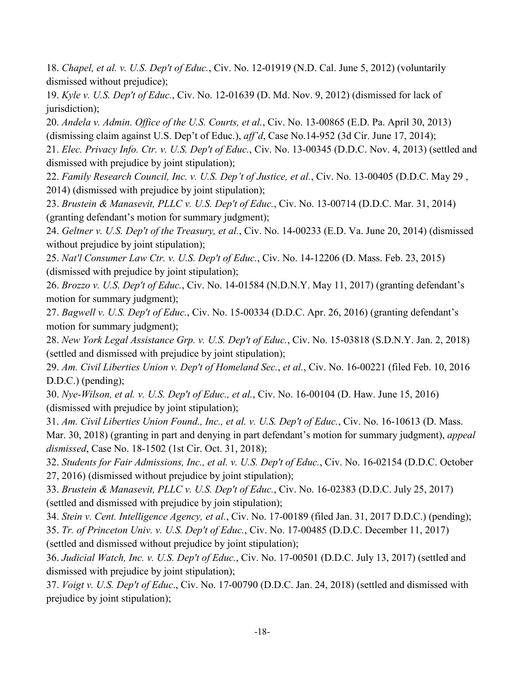18. *Chapel, et al. v. U.S. Dep't of Educ.*, Civ. No. 12-01919 (N.D. Cal. June 5, 2012) (voluntarily dismissed without prejudice);

19. *Kyle v. U.S. Dep't of Educ.*, Civ. No. 12-01639 (D. Md. Nov. 9, 2012) (dismissed for lack of jurisdiction);

20. *Andela v. Admin. Office of the U.S. Courts, et al.*, Civ. No. 13-00865 (E.D. Pa. April 30, 2013) (dismissing claim against U.S. Dep't of Educ.), *aff'd*, Case No.14-952 (3d Cir. June 17, 2014);

21. *Elec. Privacy Info. Ctr. v. U.S. Dep't of Educ.*, Civ. No. 13-00345 (D.D.C. Nov. 4, 2013) (settled and dismissed with prejudice by joint stipulation);

22. *Family Research Council, Inc. v. U.S. Dep't of Justice, et al.*, Civ. No. 13-00405 (D.D.C. May 29 , 2014) (dismissed with prejudice by joint stipulation);

23. *Brustein & Manasevit, PLLC v. U.S. Dep't of Educ.*, Civ. No. 13-00714 (D.D.C. Mar. 31, 2014) (granting defendant's motion for summary judgment);

24. *Geltner v. U.S. Dep't of the Treasury, et al.*, Civ. No. 14-00233 (E.D. Va. June 20, 2014) (dismissed without prejudice by joint stipulation);

25. *Nat'l Consumer Law Ctr. v. U.S. Dep't of Educ.*, Civ. No. 14-12206 (D. Mass. Feb. 23, 2015) (dismissed with prejudice by joint stipulation);

26. *Brozzo v. U.S. Dep't of Educ.*, Civ. No. 14-01584 (N.D.N.Y. May 11, 2017) (granting defendant's motion for summary judgment);

27. *Bagwell v. U.S. Dep't of Educ.*, Civ. No. 15-00334 (D.D.C. Apr. 26, 2016) (granting defendant's motion for summary judgment);

28. *New York Legal Assistance Grp. v. U.S. Dep't of Educ.*, Civ. No. 15-03818 (S.D.N.Y. Jan. 2, 2018) (settled and dismissed with prejudice by joint stipulation);

29. *Am. Civil Liberties Union v. Dep't of Homeland Sec.*, *et al.*, Civ. No. 16-00221 (filed Feb. 10, 2016 D.D.C.) (pending);

30. *Nye-Wilson, et al. v. U.S. Dep't of Educ., et al.*, Civ. No. 16-00104 (D. Haw. June 15, 2016) (dismissed with prejudice by joint stipulation);

31. *Am. Civil Liberties Union Found., Inc., et al. v. U.S. Dep't of Educ.*, Civ. No. 16-10613 (D. Mass. Mar. 30, 2018) (granting in part and denying in part defendant's motion for summary judgment), *appeal dismissed*, Case No. 18-1502 (1st Cir. Oct. 31, 2018);

32. *Students for Fair Admissions, Inc., et al. v. U.S. Dep't of Educ.*, Civ. No. 16-02154 (D.D.C. October 27, 2016) (dismissed without prejudice by joint stipulation);

33. *Brustein & Manasevit, PLLC v. U.S. Dep't of Educ.*, Civ. No. 16-02383 (D.D.C. July 25, 2017) (settled and dismissed with prejudice by join stipulation);

34. *Stein v. Cent. Intelligence Agency, et al.*, Civ. No. 17-00189 (filed Jan. 31, 2017 D.D.C.) (pending); 35. *Tr. of Princeton Univ. v. U.S. Dep't of Educ.*, Civ. No. 17-00485 (D.D.C. December 11, 2017) (settled and dismissed without prejudice by joint stipulation);

36. *Judicial Watch, Inc. v. U.S. Dep't of Educ.*, Civ. No. 17-00501 (D.D.C. July 13, 2017) (settled and dismissed with prejudice by joint stipulation);

37. *Voigt v. U.S. Dep't of Educ*., Civ. No. 17-00790 (D.D.C. Jan. 24, 2018) (settled and dismissed with prejudice by joint stipulation);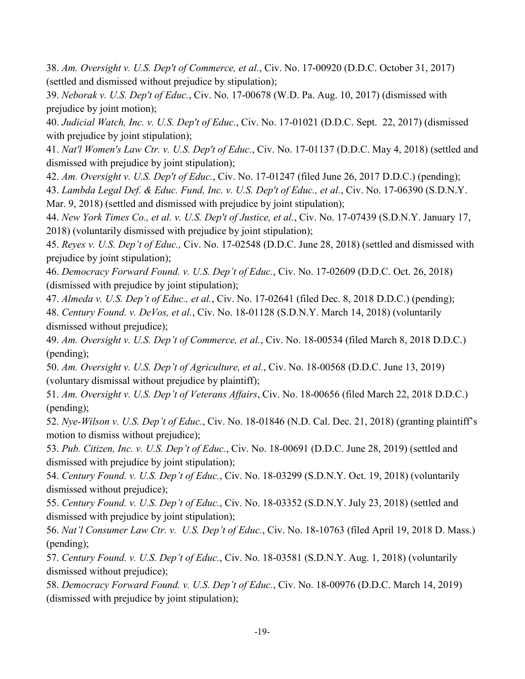38. *Am. Oversight v. U.S. Dep't of Commerce, et al.*, Civ. No. 17-00920 (D.D.C. October 31, 2017) (settled and dismissed without prejudice by stipulation);

39. *Neborak v. U.S. Dep't of Educ.*, Civ. No. 17-00678 (W.D. Pa. Aug. 10, 2017) (dismissed with prejudice by joint motion);

40. *Judicial Watch, Inc. v. U.S. Dep't of Educ.*, Civ. No. 17-01021 (D.D.C. Sept. 22, 2017) (dismissed with prejudice by joint stipulation);

41. *Nat'l Women's Law Ctr. v. U.S. Dep't of Educ.*, Civ. No. 17-01137 (D.D.C. May 4, 2018) (settled and dismissed with prejudice by joint stipulation);

42. *Am. Oversight v. U.S. Dep't of Educ.*, Civ. No. 17-01247 (filed June 26, 2017 D.D.C.) (pending);

43. *Lambda Legal Def. & Educ. Fund, Inc. v. U.S. Dep't of Educ., et al.*, Civ. No. 17-06390 (S.D.N.Y. Mar. 9, 2018) (settled and dismissed with prejudice by joint stipulation);

44. *New York Times Co., et al. v. U.S. Dep't of Justice, et al.*, Civ. No. 17-07439 (S.D.N.Y. January 17, 2018) (voluntarily dismissed with prejudice by joint stipulation);

45. *Reyes v. U.S. Dep't of Educ.,* Civ. No. 17-02548 (D.D.C. June 28, 2018) (settled and dismissed with prejudice by joint stipulation);

46. *Democracy Forward Found. v. U.S. Dep't of Educ.*, Civ. No. 17-02609 (D.D.C. Oct. 26, 2018) (dismissed with prejudice by joint stipulation);

47. *Almeda v. U.S. Dep't of Educ., et al.*, Civ. No. 17-02641 (filed Dec. 8, 2018 D.D.C.) (pending); 48. *Century Found. v. DeVos, et al.*, Civ. No. 18-01128 (S.D.N.Y. March 14, 2018) (voluntarily dismissed without prejudice);

49. *Am. Oversight v. U.S. Dep't of Commerce, et al.*, Civ. No. 18-00534 (filed March 8, 2018 D.D.C.) (pending);

50. *Am. Oversight v. U.S. Dep't of Agriculture, et al.*, Civ. No. 18-00568 (D.D.C. June 13, 2019) (voluntary dismissal without prejudice by plaintiff);

51. *Am. Oversight v. U.S. Dep't of Veterans Affairs*, Civ. No. 18-00656 (filed March 22, 2018 D.D.C.) (pending);

52. *Nye-Wilson v. U.S. Dep't of Educ.*, Civ. No. 18-01846 (N.D. Cal. Dec. 21, 2018) (granting plaintiff's motion to dismiss without prejudice);

53. *Pub. Citizen, Inc. v. U.S. Dep't of Educ.*, Civ. No. 18-00691 (D.D.C. June 28, 2019) (settled and dismissed with prejudice by joint stipulation);

54. *Century Found. v. U.S. Dep't of Educ.*, Civ. No. 18-03299 (S.D.N.Y. Oct. 19, 2018) (voluntarily dismissed without prejudice);

55. *Century Found. v. U.S. Dep't of Educ.*, Civ. No. 18-03352 (S.D.N.Y. July 23, 2018) (settled and dismissed with prejudice by joint stipulation);

56. *Nat'l Consumer Law Ctr. v. U.S. Dep't of Educ.*, Civ. No. 18-10763 (filed April 19, 2018 D. Mass.) (pending);

57. *Century Found. v. U.S. Dep't of Educ.*, Civ. No. 18-03581 (S.D.N.Y. Aug. 1, 2018) (voluntarily dismissed without prejudice);

58. *Democracy Forward Found. v. U.S. Dep't of Educ.*, Civ. No. 18-00976 (D.D.C. March 14, 2019) (dismissed with prejudice by joint stipulation);